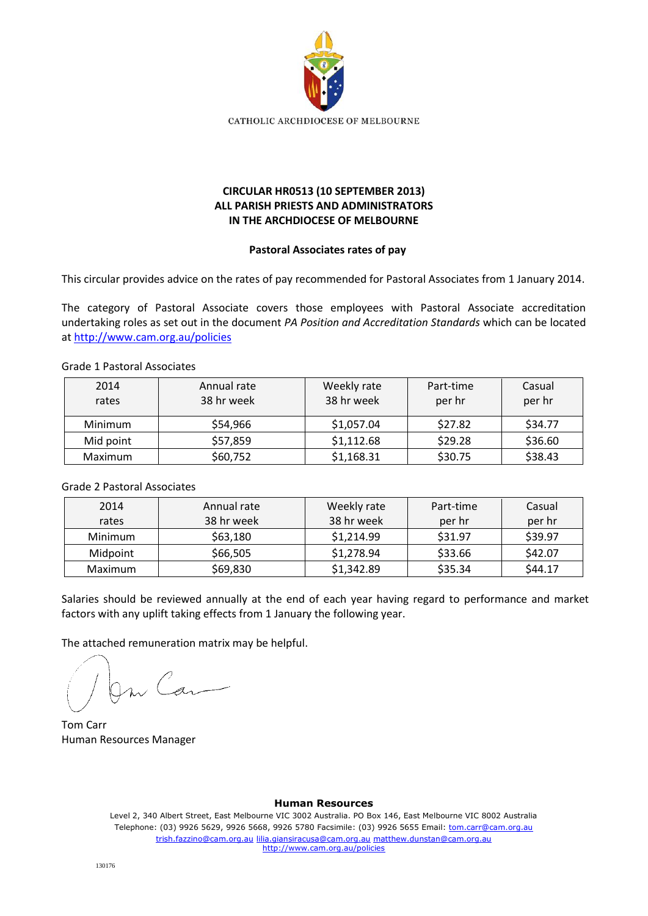

# **CIRCULAR HR0513 (10 SEPTEMBER 2013) ALL PARISH PRIESTS AND ADMINISTRATORS IN THE ARCHDIOCESE OF MELBOURNE**

#### **Pastoral Associates rates of pay**

This circular provides advice on the rates of pay recommended for Pastoral Associates from 1 January 2014.

The category of Pastoral Associate covers those employees with Pastoral Associate accreditation undertaking roles as set out in the document *PA Position and Accreditation Standards* which can be located at<http://www.cam.org.au/policies>

#### Grade 1 Pastoral Associates

| 2014<br>rates  | Annual rate<br>38 hr week | Weekly rate<br>38 hr week | Part-time<br>per hr | Casual<br>per hr |
|----------------|---------------------------|---------------------------|---------------------|------------------|
| Minimum        | \$54,966                  | \$1,057.04                | \$27.82             | \$34.77          |
| Mid point      | \$57,859                  | \$1,112.68                | \$29.28             | \$36.60          |
| <b>Maximum</b> | \$60,752                  | \$1,168.31                | \$30.75             | \$38.43          |

## Grade 2 Pastoral Associates

| 2014                 | Annual rate | Weekly rate | Part-time | Casual  |
|----------------------|-------------|-------------|-----------|---------|
| rates                | 38 hr week  | 38 hr week  | per hr    | per hr  |
| Minimum              | \$63,180    | \$1,214.99  | \$31.97   | \$39.97 |
| \$66,505<br>Midpoint |             | \$1,278.94  | \$33.66   | \$42.07 |
| Maximum              | \$69,830    | \$1,342.89  | \$35.34   | \$44.17 |

Salaries should be reviewed annually at the end of each year having regard to performance and market factors with any uplift taking effects from 1 January the following year.

The attached remuneration matrix may be helpful.

On Can

Tom Carr Human Resources Manager

#### **Human Resources**

Level 2, 340 Albert Street, East Melbourne VIC 3002 Australia. PO Box 146, East Melbourne VIC 8002 Australia Telephone: (03) 9926 5629, 9926 5668, 9926 5780 Facsimile: (03) 9926 5655 Email: tom.carr@cam.org.au trish.fazzino@cam.org.au lilia.giansiracusa@cam.org.au matthew.dunstan@cam.org.au http://www.cam.org.au/policies